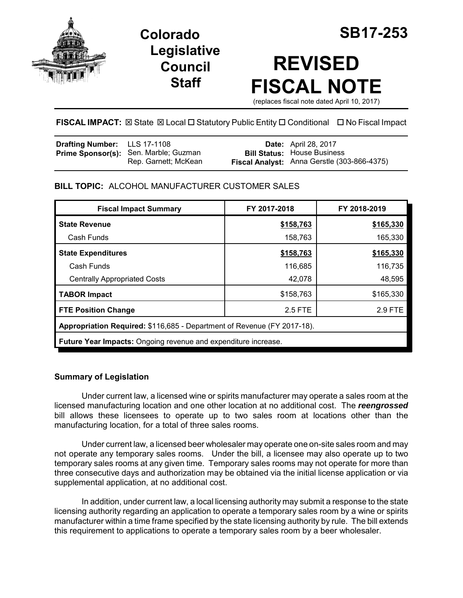

**Legislative Council Staff**

# **REVISED FISCAL NOTE**

(replaces fiscal note dated April 10, 2017)

**FISCAL IMPACT:** ⊠ State ⊠ Local □ Statutory Public Entity □ Conditional □ No Fiscal Impact

| <b>Drafting Number:</b> LLS 17-1108 |                                                                      | <b>Date:</b> April 28, 2017                                                       |
|-------------------------------------|----------------------------------------------------------------------|-----------------------------------------------------------------------------------|
|                                     | <b>Prime Sponsor(s):</b> Sen. Marble; Guzman<br>Rep. Garnett; McKean | <b>Bill Status: House Business</b><br>Fiscal Analyst: Anna Gerstle (303-866-4375) |

# **BILL TOPIC:** ALCOHOL MANUFACTURER CUSTOMER SALES

| <b>Fiscal Impact Summary</b>                                            | FY 2017-2018 | FY 2018-2019 |  |  |
|-------------------------------------------------------------------------|--------------|--------------|--|--|
| <b>State Revenue</b>                                                    | \$158,763    | \$165,330    |  |  |
| Cash Funds                                                              | 158,763      | 165,330      |  |  |
| <b>State Expenditures</b>                                               | \$158,763    | \$165,330    |  |  |
| Cash Funds                                                              | 116,685      | 116,735      |  |  |
| <b>Centrally Appropriated Costs</b>                                     | 42,078       | 48,595       |  |  |
| <b>TABOR Impact</b>                                                     | \$158,763    | \$165,330    |  |  |
| <b>FTE Position Change</b>                                              | 2.5 FTE      | 2.9 FTE      |  |  |
| Appropriation Required: \$116,685 - Department of Revenue (FY 2017-18). |              |              |  |  |
| <b>Future Year Impacts:</b> Ongoing revenue and expenditure increase.   |              |              |  |  |

# **Summary of Legislation**

Under current law, a licensed wine or spirits manufacturer may operate a sales room at the licensed manufacturing location and one other location at no additional cost. The *reengrossed* bill allows these licensees to operate up to two sales room at locations other than the manufacturing location, for a total of three sales rooms.

Under current law, a licensed beer wholesaler may operate one on-site sales room and may not operate any temporary sales rooms. Under the bill, a licensee may also operate up to two temporary sales rooms at any given time. Temporary sales rooms may not operate for more than three consecutive days and authorization may be obtained via the initial license application or via supplemental application, at no additional cost.

In addition, under current law, a local licensing authority may submit a response to the state licensing authority regarding an application to operate a temporary sales room by a wine or spirits manufacturer within a time frame specified by the state licensing authority by rule. The bill extends this requirement to applications to operate a temporary sales room by a beer wholesaler.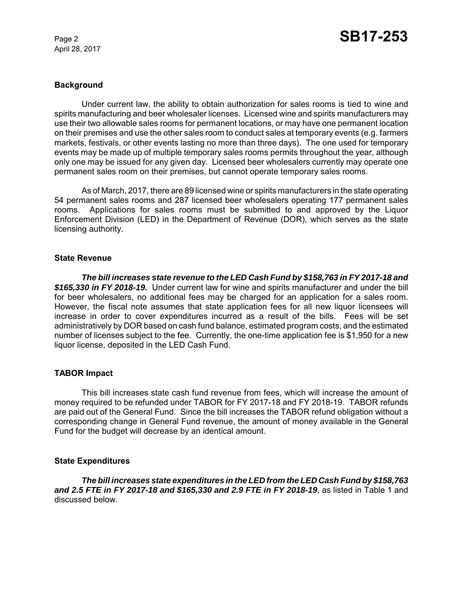April 28, 2017

# **Background**

Under current law, the ability to obtain authorization for sales rooms is tied to wine and spirits manufacturing and beer wholesaler licenses. Licensed wine and spirits manufacturers may use their two allowable sales rooms for permanent locations, or may have one permanent location on their premises and use the other sales room to conduct sales at temporary events (e.g. farmers markets, festivals, or other events lasting no more than three days). The one used for temporary events may be made up of multiple temporary sales rooms permits throughout the year, although only one may be issued for any given day. Licensed beer wholesalers currently may operate one permanent sales room on their premises, but cannot operate temporary sales rooms.

As of March, 2017, there are 89 licensed wine or spirits manufacturers in the state operating 54 permanent sales rooms and 287 licensed beer wholesalers operating 177 permanent sales rooms. Applications for sales rooms must be submitted to and approved by the Liquor Enforcement Division (LED) in the Department of Revenue (DOR), which serves as the state licensing authority.

### **State Revenue**

*The bill increases state revenue to the LED Cash Fund by \$158,763 in FY 2017-18 and \$165,330 in FY 2018-19.* Under current law for wine and spirits manufacturer and under the bill for beer wholesalers, no additional fees may be charged for an application for a sales room. However, the fiscal note assumes that state application fees for all new liquor licensees will increase in order to cover expenditures incurred as a result of the bills. Fees will be set administratively by DOR based on cash fund balance, estimated program costs, and the estimated number of licenses subject to the fee. Currently, the one-time application fee is \$1,950 for a new liquor license, deposited in the LED Cash Fund.

# **TABOR Impact**

This bill increases state cash fund revenue from fees, which will increase the amount of money required to be refunded under TABOR for FY 2017-18 and FY 2018-19. TABOR refunds are paid out of the General Fund. Since the bill increases the TABOR refund obligation without a corresponding change in General Fund revenue, the amount of money available in the General Fund for the budget will decrease by an identical amount.

# **State Expenditures**

*The bill increases state expenditures in the LED from the LED Cash Fund by \$158,763 and 2.5 FTE in FY 2017-18 and \$165,330 and 2.9 FTE in FY 2018-19*, as listed in Table 1 and discussed below.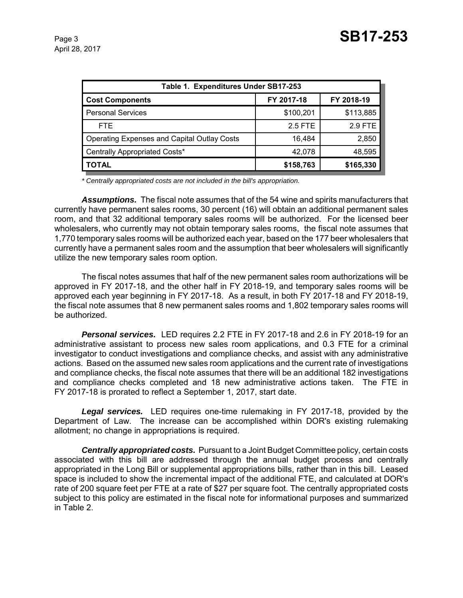| Table 1. Expenditures Under SB17-253               |            |            |  |  |  |
|----------------------------------------------------|------------|------------|--|--|--|
| <b>Cost Components</b>                             | FY 2017-18 | FY 2018-19 |  |  |  |
| <b>Personal Services</b>                           | \$100,201  | \$113,885  |  |  |  |
| FTE.                                               | 2.5 FTE    | 2.9 FTE    |  |  |  |
| <b>Operating Expenses and Capital Outlay Costs</b> | 16.484     | 2,850      |  |  |  |
| Centrally Appropriated Costs*                      | 42,078     | 48,595     |  |  |  |
| <b>TOTAL</b>                                       | \$158,763  | \$165,330  |  |  |  |

*\* Centrally appropriated costs are not included in the bill's appropriation.*

*Assumptions.* The fiscal note assumes that of the 54 wine and spirits manufacturers that currently have permanent sales rooms, 30 percent (16) will obtain an additional permanent sales room, and that 32 additional temporary sales rooms will be authorized. For the licensed beer wholesalers, who currently may not obtain temporary sales rooms, the fiscal note assumes that 1,770 temporary sales rooms will be authorized each year, based on the 177 beer wholesalers that currently have a permanent sales room and the assumption that beer wholesalers will significantly utilize the new temporary sales room option.

The fiscal notes assumes that half of the new permanent sales room authorizations will be approved in FY 2017-18, and the other half in FY 2018-19, and temporary sales rooms will be approved each year beginning in FY 2017-18. As a result, in both FY 2017-18 and FY 2018-19, the fiscal note assumes that 8 new permanent sales rooms and 1,802 temporary sales rooms will be authorized.

*Personal services.* LED requires 2.2 FTE in FY 2017-18 and 2.6 in FY 2018-19 for an administrative assistant to process new sales room applications, and 0.3 FTE for a criminal investigator to conduct investigations and compliance checks, and assist with any administrative actions. Based on the assumed new sales room applications and the current rate of investigations and compliance checks, the fiscal note assumes that there will be an additional 182 investigations and compliance checks completed and 18 new administrative actions taken. The FTE in FY 2017-18 is prorated to reflect a September 1, 2017, start date.

*Legal services.* LED requires one-time rulemaking in FY 2017-18, provided by the Department of Law. The increase can be accomplished within DOR's existing rulemaking allotment; no change in appropriations is required.

*Centrally appropriated costs.* Pursuant to a Joint Budget Committee policy, certain costs associated with this bill are addressed through the annual budget process and centrally appropriated in the Long Bill or supplemental appropriations bills, rather than in this bill. Leased space is included to show the incremental impact of the additional FTE, and calculated at DOR's rate of 200 square feet per FTE at a rate of \$27 per square foot. The centrally appropriated costs subject to this policy are estimated in the fiscal note for informational purposes and summarized in Table 2.